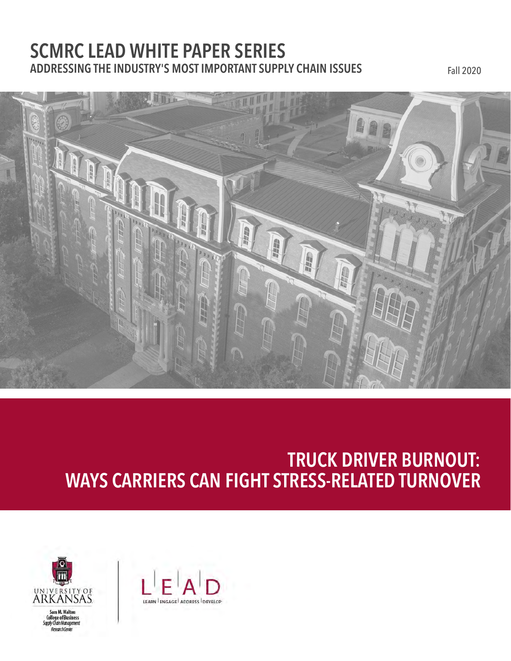### **SCMRC LEAD WHITE PAPER SERIES ADDRESSING THE INDUSTRY'S MOST IMPORTANT SUPPLY CHAIN ISSUES** Fall 2020



## **TRUCK DRIVER BURNOUT: WAYS CARRIERS CAN FIGHT STRESS-RELATED TURNOVER**



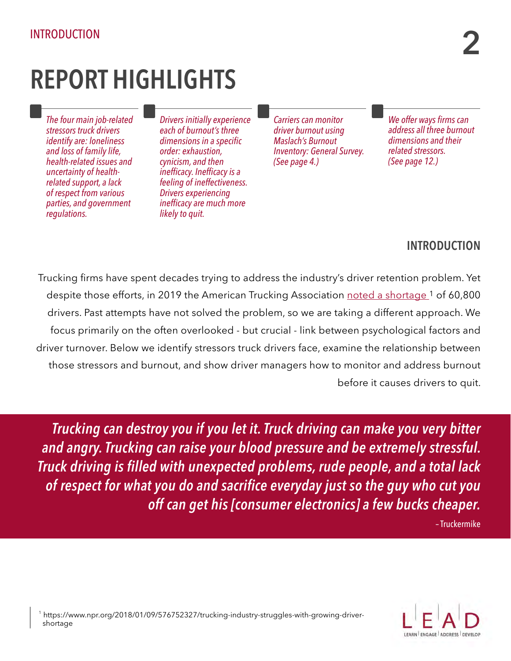## **REPORT HIGHLIGHTS**

*The four main job-related stressors truck drivers identify are: loneliness and loss of family life, health-related issues and uncertainty of healthrelated support, a lack of respect from various parties, and government regulations.*

*Drivers initially experience each of burnout's three dimensions in a specific order: exhaustion, cynicism, and then inefficacy. Inefficacy is a feeling of ineffectiveness. Drivers experiencing inefficacy are much more likely to quit.*

*Carriers can monitor driver burnout using Maslach's Burnout Inventory: General Survey. (See page 4.)*

*We offer ways firms can address all three burnout dimensions and their related stressors. (See page 12.)*

#### **INTRODUCTION**

Trucking firms have spent decades trying to address the industry's driver retention problem. Yet despite those efforts, in 2019 the American Trucking Association [noted a shortage](https://www.ttnews.com/articles/ata-says-truck-driver-shortage-course-double-decade) <sup>1</sup> of 60,800 drivers. Past attempts have not solved the problem, so we are taking a different approach. We focus primarily on the often overlooked - but crucial - link between psychological factors and driver turnover. Below we identify stressors truck drivers face, examine the relationship between those stressors and burnout, and show driver managers how to monitor and address burnout before it causes drivers to quit.

*Trucking can destroy you if you let it. Truck driving can make you very bitter and angry. Trucking can raise your blood pressure and be extremely stressful. Truck driving is filled with unexpected problems, rude people, and a total lack of respect for what you do and sacrifice everyday just so the guy who cut you off can get his [consumer electronics] a few bucks cheaper.* – Truckermike

 1 https://www.npr.org/2018/01/09/576752327/trucking-industry-struggles-with-growing-driver shortage

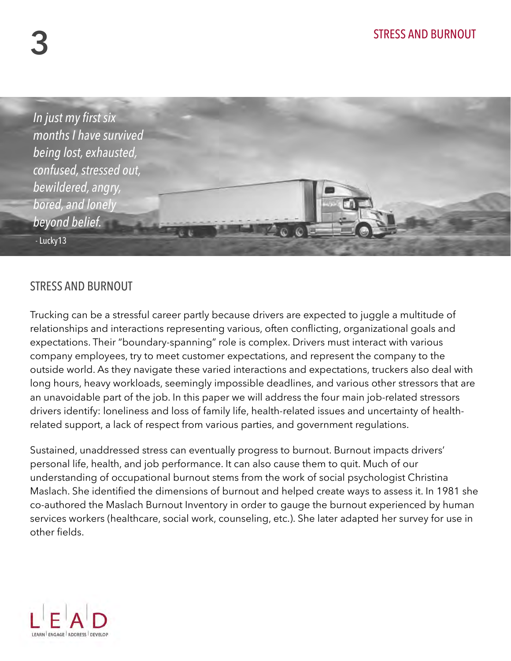

#### STRESS AND BURNOUT

Trucking can be a stressful career partly because drivers are expected to juggle a multitude of relationships and interactions representing various, often conflicting, organizational goals and expectations. Their "boundary-spanning" role is complex. Drivers must interact with various company employees, try to meet customer expectations, and represent the company to the outside world. As they navigate these varied interactions and expectations, truckers also deal with long hours, heavy workloads, seemingly impossible deadlines, and various other stressors that are an unavoidable part of the job. In this paper we will address the four main job-related stressors drivers identify: loneliness and loss of family life, health-related issues and uncertainty of healthrelated support, a lack of respect from various parties, and government regulations.

Sustained, unaddressed stress can eventually progress to burnout. Burnout impacts drivers' personal life, health, and job performance. It can also cause them to quit. Much of our understanding of occupational burnout stems from the work of social psychologist Christina Maslach. She identified the dimensions of burnout and helped create ways to assess it. In 1981 she co-authored the Maslach Burnout Inventory in order to gauge the burnout experienced by human services workers (healthcare, social work, counseling, etc.). She later adapted her survey for use in other fields.

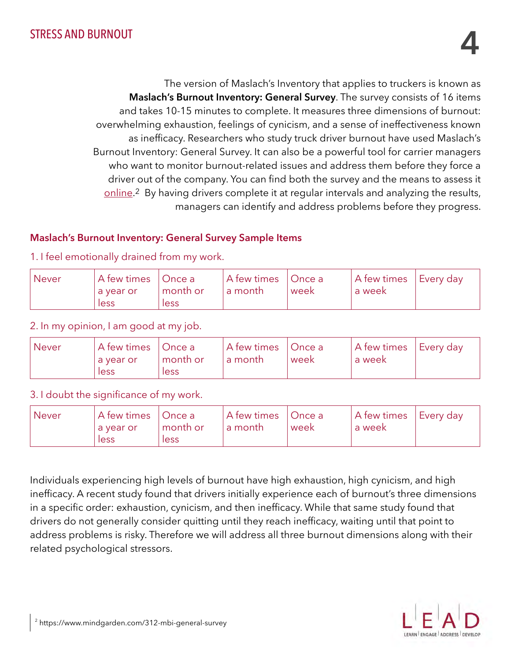The version of Maslach's Inventory that applies to truckers is known as **Maslach's Burnout Inventory: General Survey**. The survey consists of 16 items and takes 10-15 minutes to complete. It measures three dimensions of burnout: overwhelming exhaustion, feelings of cynicism, and a sense of ineffectiveness known as inefficacy. Researchers who study truck driver burnout have used Maslach's Burnout Inventory: General Survey. It can also be a powerful tool for carrier managers who want to monitor burnout-related issues and address them before they force a driver out of the company. You can find both the survey and the means to assess it [online](https://www.mindgarden.com/312-mbi-general-survey).2 By having drivers complete it at regular intervals and analyzing the results, managers can identify and address problems before they progress.

#### **Maslach's Burnout Inventory: General Survey Sample Items**

1. I feel emotionally drained from my work.

| <b>Never</b> | A few times   Once a |          | $\pm$ A few times $\pm$ | Once a | A few times | †Every day |
|--------------|----------------------|----------|-------------------------|--------|-------------|------------|
|              | a year or            | month or | a month                 | week   | ' a week    |            |
|              | less                 | less     |                         |        |             |            |

2. In my opinion, I am good at my job.

| <b>Never</b> | A few times   Once a<br>a vear or | month or | A few times   Once a<br>' a month | week | A few times<br>a week | <b>Every day</b> |
|--------------|-----------------------------------|----------|-----------------------------------|------|-----------------------|------------------|
|              | less                              | less     |                                   |      |                       |                  |

#### 3. I doubt the significance of my work.

| <b>Never</b> | A few times | Once a   | A few times   Once a |      | A few times | Every day |
|--------------|-------------|----------|----------------------|------|-------------|-----------|
|              | a year or   | month or | La month             | week | a week      |           |
|              | less        | less     |                      |      |             |           |

Individuals experiencing high levels of burnout have high exhaustion, high cynicism, and high inefficacy. A recent study found that drivers initially experience each of burnout's three dimensions in a specific order: exhaustion, cynicism, and then inefficacy. While that same study found that drivers do not generally consider quitting until they reach inefficacy, waiting until that point to address problems is risky. Therefore we will address all three burnout dimensions along with their related psychological stressors.

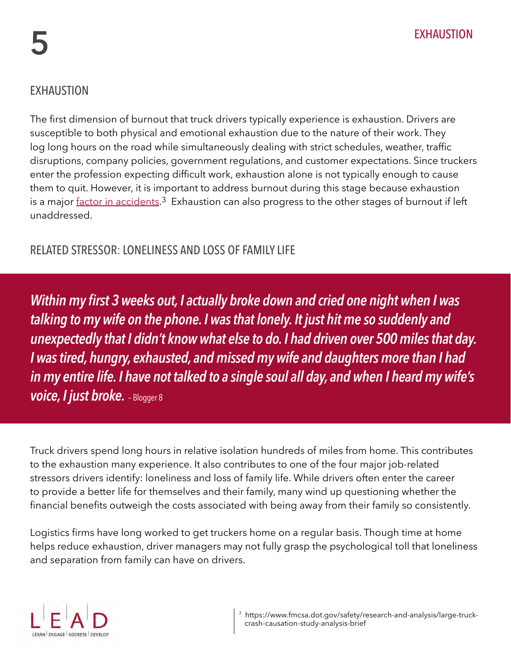#### EXHAUSTION

The first dimension of burnout that truck drivers typically experience is exhaustion. Drivers are susceptible to both physical and emotional exhaustion due to the nature of their work. They log long hours on the road while simultaneously dealing with strict schedules, weather, traffic disruptions, company policies, government regulations, and customer expectations. Since truckers enter the profession expecting difficult work, exhaustion alone is not typically enough to cause them to quit. However, it is important to address burnout during this stage because exhaustion is a major [factor in accidents.](https://www.fmcsa.dot.gov/safety/research-and-analysis/large-truck-crash-causation-study-analysis-brief)<sup>3</sup> Exhaustion can also progress to the other stages of burnout if left unaddressed.

#### RELATED STRESSOR: LONELINESS AND LOSS OF FAMILY LIFE

*Within my first 3 weeks out, I actually broke down and cried one night when I was talking to my wife on the phone. I was that lonely. It just hit me so suddenly and unexpectedly that I didn't know what else to do. I had driven over 500 miles that day. I was tired, hungry, exhausted, and missed my wife and daughters more than I had in my entire life. I have not talked to a single soul all day, and when I heard my wife's voice, I just broke.* – Blogger 8

Truck drivers spend long hours in relative isolation hundreds of miles from home. This contributes to the exhaustion many experience. It also contributes to one of the four major job-related stressors drivers identify: loneliness and loss of family life. While drivers often enter the career to provide a better life for themselves and their family, many wind up questioning whether the financial benefits outweigh the costs associated with being away from their family so consistently.

Logistics firms have long worked to get truckers home on a regular basis. Though time at home helps reduce exhaustion, driver managers may not fully grasp the psychological toll that loneliness and separation from family can have on drivers.

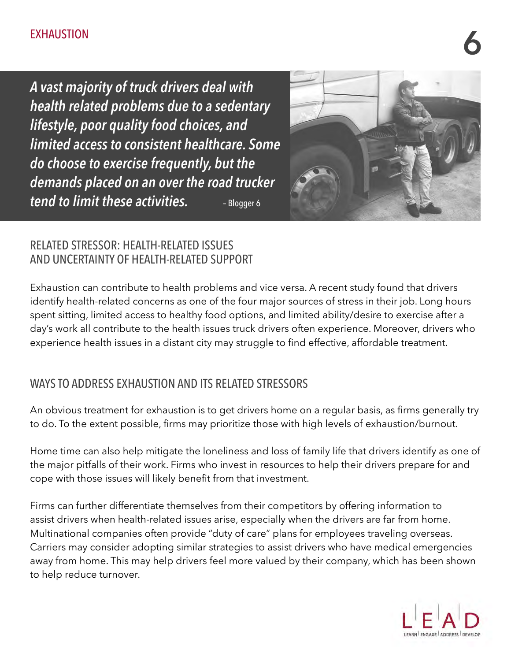# EXHAUSTION **6**

*A vast majority of truck drivers deal with health related problems due to a sedentary lifestyle, poor quality food choices, and limited access to consistent healthcare. Some do choose to exercise frequently, but the demands placed on an over the road trucker tend to limit these activities.* **– Blogger 6** 



#### RELATED STRESSOR: HEALTH-RELATED ISSUES AND UNCERTAINTY OF HEALTH-RELATED SUPPORT

Exhaustion can contribute to health problems and vice versa. A recent study found that drivers identify health-related concerns as one of the four major sources of stress in their job. Long hours spent sitting, limited access to healthy food options, and limited ability/desire to exercise after a day's work all contribute to the health issues truck drivers often experience. Moreover, drivers who experience health issues in a distant city may struggle to find effective, affordable treatment.

#### WAYS TO ADDRESS EXHAUSTION AND ITS RELATED STRESSORS

An obvious treatment for exhaustion is to get drivers home on a regular basis, as firms generally try to do. To the extent possible, firms may prioritize those with high levels of exhaustion/burnout.

Home time can also help mitigate the loneliness and loss of family life that drivers identify as one of the major pitfalls of their work. Firms who invest in resources to help their drivers prepare for and cope with those issues will likely benefit from that investment.

Firms can further differentiate themselves from their competitors by offering information to assist drivers when health-related issues arise, especially when the drivers are far from home. Multinational companies often provide "duty of care" plans for employees traveling overseas. Carriers may consider adopting similar strategies to assist drivers who have medical emergencies away from home. This may help drivers feel more valued by their company, which has been shown to help reduce turnover.

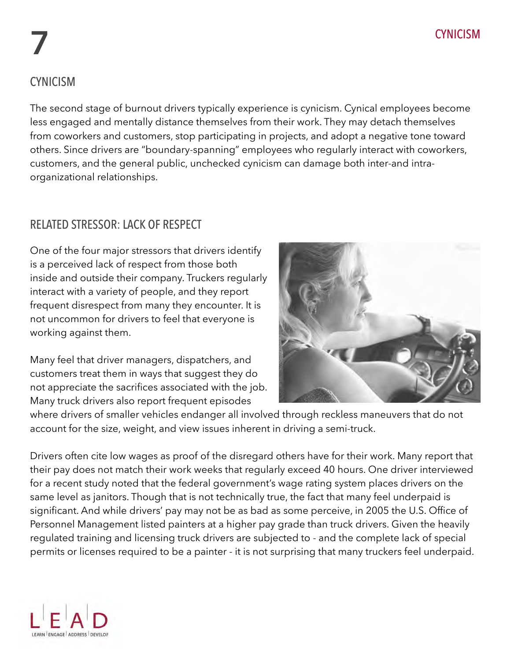# CYNICISM **7**

#### CYNICISM

The second stage of burnout drivers typically experience is cynicism. Cynical employees become less engaged and mentally distance themselves from their work. They may detach themselves from coworkers and customers, stop participating in projects, and adopt a negative tone toward others. Since drivers are "boundary-spanning" employees who regularly interact with coworkers, customers, and the general public, unchecked cynicism can damage both inter-and intraorganizational relationships.

#### RELATED STRESSOR: LACK OF RESPECT

One of the four major stressors that drivers identify is a perceived lack of respect from those both inside and outside their company. Truckers regularly interact with a variety of people, and they report frequent disrespect from many they encounter. It is not uncommon for drivers to feel that everyone is working against them.

Many feel that driver managers, dispatchers, and customers treat them in ways that suggest they do not appreciate the sacrifices associated with the job. Many truck drivers also report frequent episodes



where drivers of smaller vehicles endanger all involved through reckless maneuvers that do not account for the size, weight, and view issues inherent in driving a semi-truck.

Drivers often cite low wages as proof of the disregard others have for their work. Many report that their pay does not match their work weeks that regularly exceed 40 hours. One driver interviewed for a recent study noted that the federal government's wage rating system places drivers on the same level as janitors. Though that is not technically true, the fact that many feel underpaid is significant. And while drivers' pay may not be as bad as some perceive, in 2005 the U.S. Office of Personnel Management listed painters at a higher pay grade than truck drivers. Given the heavily regulated training and licensing truck drivers are subjected to - and the complete lack of special permits or licenses required to be a painter - it is not surprising that many truckers feel underpaid.

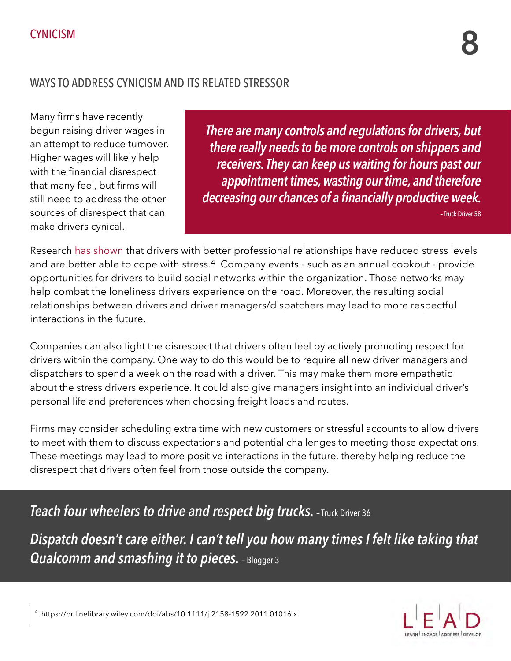#### WAYS TO ADDRESS CYNICISM AND ITS RELATED STRESSOR

Many firms have recently begun raising driver wages in an attempt to reduce turnover. Higher wages will likely help with the financial disrespect that many feel, but firms will still need to address the other sources of disrespect that can make drivers cynical.

*There are many controls and regulations for drivers, but there really needs to be more controls on shippers and receivers. They can keep us waiting for hours past our appointment times, wasting our time, and therefore decreasing our chances of a financially productive week.* 

– Truck Driver 58

Research [has shown](https://onlinelibrary.wiley.com/doi/abs/10.1111/j.2158-1592.2011.01016.x) that drivers with better professional relationships have reduced stress levels and are better able to cope with stress.<sup>4</sup> Company events - such as an annual cookout - provide opportunities for drivers to build social networks within the organization. Those networks may help combat the loneliness drivers experience on the road. Moreover, the resulting social relationships between drivers and driver managers/dispatchers may lead to more respectful interactions in the future.

Companies can also fight the disrespect that drivers often feel by actively promoting respect for drivers within the company. One way to do this would be to require all new driver managers and dispatchers to spend a week on the road with a driver. This may make them more empathetic about the stress drivers experience. It could also give managers insight into an individual driver's personal life and preferences when choosing freight loads and routes.

Firms may consider scheduling extra time with new customers or stressful accounts to allow drivers to meet with them to discuss expectations and potential challenges to meeting those expectations. These meetings may lead to more positive interactions in the future, thereby helping reduce the disrespect that drivers often feel from those outside the company.

*Teach four wheelers to drive and respect big trucks. - Truck Driver 36* 

*Dispatch doesn't care either. I can't tell you how many times I felt like taking that Qualcomm and smashing it to pieces.* – Blogger 3

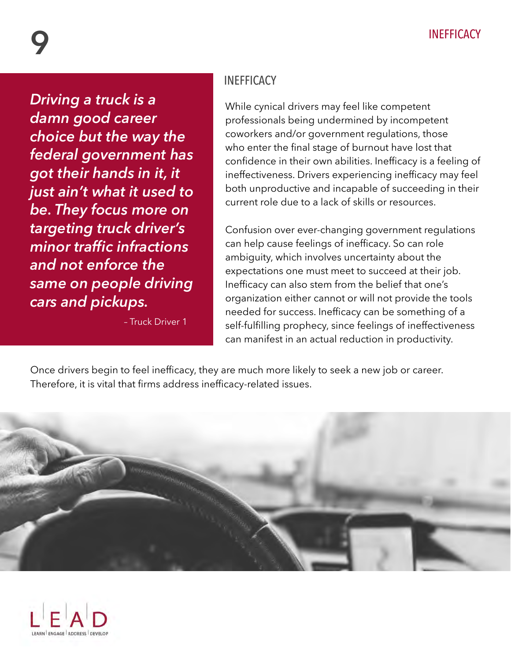*Driving a truck is a damn good career choice but the way the federal government has got their hands in it, it just ain't what it used to be. They focus more on targeting truck driver's minor traffic infractions and not enforce the same on people driving cars and pickups.* 

– Truck Driver 1

#### **INEFFICACY**

While cynical drivers may feel like competent professionals being undermined by incompetent coworkers and/or government regulations, those who enter the final stage of burnout have lost that confidence in their own abilities. Inefficacy is a feeling of ineffectiveness. Drivers experiencing inefficacy may feel both unproductive and incapable of succeeding in their current role due to a lack of skills or resources.

Confusion over ever-changing government regulations can help cause feelings of inefficacy. So can role ambiguity, which involves uncertainty about the expectations one must meet to succeed at their job. Inefficacy can also stem from the belief that one's organization either cannot or will not provide the tools needed for success. Inefficacy can be something of a self-fulfilling prophecy, since feelings of ineffectiveness can manifest in an actual reduction in productivity.

Once drivers begin to feel inefficacy, they are much more likely to seek a new job or career. Therefore, it is vital that firms address inefficacy-related issues.



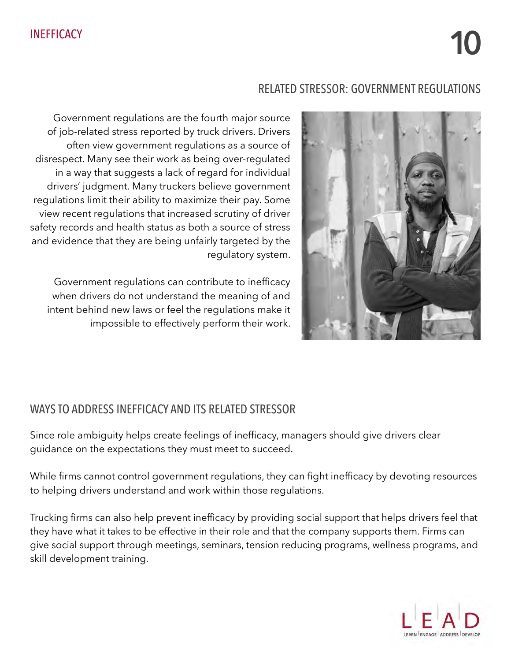#### RELATED STRESSOR: GOVERNMENT REGULATIONS



Government regulations are the fourth major source of job-related stress reported by truck drivers. Drivers often view government regulations as a source of disrespect. Many see their work as being over-regulated in a way that suggests a lack of regard for individual drivers' judgment. Many truckers believe government regulations limit their ability to maximize their pay. Some view recent regulations that increased scrutiny of driver safety records and health status as both a source of stress and evidence that they are being unfairly targeted by the regulatory system.

Government regulations can contribute to inefficacy when drivers do not understand the meaning of and intent behind new laws or feel the regulations make it impossible to effectively perform their work.

#### WAYS TO ADDRESS INEFFICACY AND ITS RELATED STRESSOR

Since role ambiguity helps create feelings of inefficacy, managers should give drivers clear guidance on the expectations they must meet to succeed.

While firms cannot control government regulations, they can fight inefficacy by devoting resources to helping drivers understand and work within those regulations.

Trucking firms can also help prevent inefficacy by providing social support that helps drivers feel that they have what it takes to be effective in their role and that the company supports them. Firms can give social support through meetings, seminars, tension reducing programs, wellness programs, and skill development training.

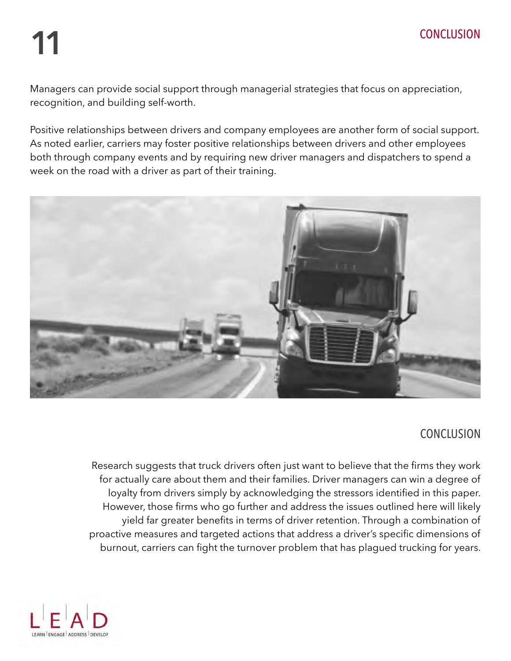# **11** CONCLUSION

Managers can provide social support through managerial strategies that focus on appreciation, recognition, and building self-worth.

Positive relationships between drivers and company employees are another form of social support. As noted earlier, carriers may foster positive relationships between drivers and other employees both through company events and by requiring new driver managers and dispatchers to spend a week on the road with a driver as part of their training.



#### **CONCLUSION**

Research suggests that truck drivers often just want to believe that the firms they work for actually care about them and their families. Driver managers can win a degree of loyalty from drivers simply by acknowledging the stressors identified in this paper. However, those firms who go further and address the issues outlined here will likely yield far greater benefits in terms of driver retention. Through a combination of proactive measures and targeted actions that address a driver's specific dimensions of burnout, carriers can fight the turnover problem that has plagued trucking for years.

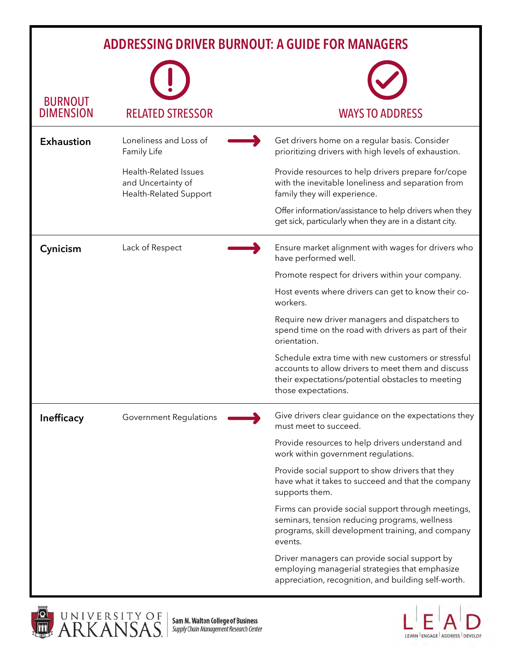#### **ADDRESSING DRIVER BURNOUT: A GUIDE FOR MANAGERS**

| <b>BURNOUT</b><br><b>DIMENSION</b> | <b>RELATED STRESSOR</b>                                               | <b>WAYS TO ADDRESS</b>                                                                                                                                                                |
|------------------------------------|-----------------------------------------------------------------------|---------------------------------------------------------------------------------------------------------------------------------------------------------------------------------------|
| <b>Exhaustion</b>                  | Loneliness and Loss of<br>Family Life                                 | Get drivers home on a regular basis. Consider<br>prioritizing drivers with high levels of exhaustion.                                                                                 |
|                                    | Health-Related Issues<br>and Uncertainty of<br>Health-Related Support | Provide resources to help drivers prepare for/cope<br>with the inevitable loneliness and separation from<br>family they will experience.                                              |
|                                    |                                                                       | Offer information/assistance to help drivers when they<br>get sick, particularly when they are in a distant city.                                                                     |
| Cynicism                           | Lack of Respect                                                       | Ensure market alignment with wages for drivers who<br>have performed well.                                                                                                            |
|                                    |                                                                       | Promote respect for drivers within your company.                                                                                                                                      |
|                                    |                                                                       | Host events where drivers can get to know their co-<br>workers.                                                                                                                       |
|                                    |                                                                       | Require new driver managers and dispatchers to<br>spend time on the road with drivers as part of their<br>orientation.                                                                |
|                                    |                                                                       | Schedule extra time with new customers or stressful<br>accounts to allow drivers to meet them and discuss<br>their expectations/potential obstacles to meeting<br>those expectations. |
| <b>Inefficacy</b>                  | <b>Government Regulations</b>                                         | Give drivers clear guidance on the expectations they<br>must meet to succeed.                                                                                                         |
|                                    |                                                                       | Provide resources to help drivers understand and<br>work within government regulations.                                                                                               |
|                                    |                                                                       | Provide social support to show drivers that they<br>have what it takes to succeed and that the company<br>supports them.                                                              |
|                                    |                                                                       | Firms can provide social support through meetings,<br>seminars, tension reducing programs, wellness<br>programs, skill development training, and company<br>events.                   |
|                                    |                                                                       | Driver managers can provide social support by<br>employing managerial strategies that emphasize<br>appreciation, recognition, and building self-worth.                                |



**Sam M. Walton College of Business<br>Supply Chain Management Research Center** 

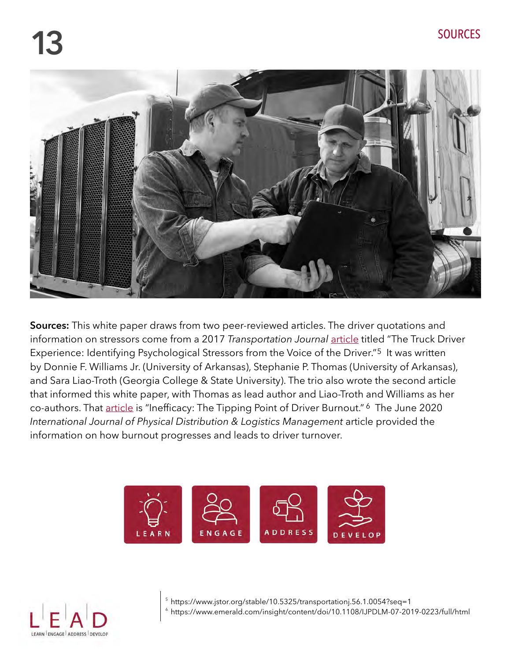

**Sources:** This white paper draws from two peer-reviewed articles. The driver quotations and information on stressors come from a 2017 *Transportation Journal* [article](https://www.jstor.org/stable/10.5325/transportationj.56.1.0054?seq=1) titled "The Truck Driver Experience: Identifying Psychological Stressors from the Voice of the Driver."<sup>5</sup> It was written by Donnie F. Williams Jr. (University of Arkansas), Stephanie P. Thomas (University of Arkansas), and Sara Liao-Troth (Georgia College & State University). The trio also wrote the second article that informed this white paper, with Thomas as lead author and Liao-Troth and Williams as her co-authors. That [article](https://www.emerald.com/insight/content/doi/10.1108/IJPDLM-07-2019-0223/full/html) is "Inefficacy: The Tipping Point of Driver Burnout." <sup>6</sup> The June 2020 *International Journal of Physical Distribution & Logistics Management* article provided the information on how burnout progresses and leads to driver turnover.





- 5 https://www.jstor.org/stable/10.5325/transportationj.56.1.0054?seq=1
- 6 https://www.emerald.com/insight/content/doi/10.1108/IJPDLM-07-2019-0223/full/html